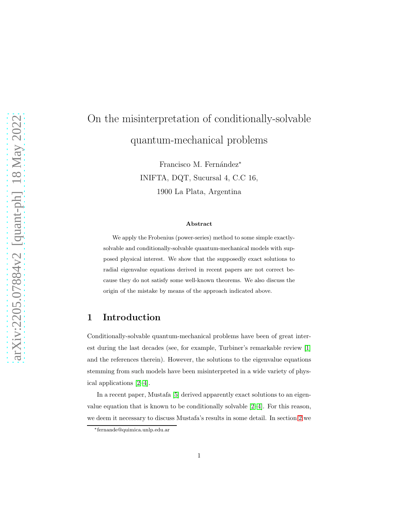# On the misinterpretation of conditionally-solvable quantum-mechanical problems

Francisco M. Fernández<sup>\*</sup> INIFTA, DQT, Sucursal 4, C.C 16, 1900 La Plata, Argentina

#### Abstract

We apply the Frobenius (power-series) method to some simple exactlysolvable and conditionally-solvable quantum-mechanical models with supposed physical interest. We show that the supposedly exact solutions to radial eigenvalue equations derived in recent papers are not correct because they do not satisfy some well-known theorems. We also discuss the origin of the mistake by means of the approach indicated above.

#### 1 Introduction

Conditionally-solvable quantum-mechanical problems have been of great interest during the last decades (see, for example, Turbiner's remarkable review [\[1\]](#page-6-0) and the references therein). However, the solutions to the eigenvalue equations stemming from such models have been misinterpreted in a wide variety of physical applications [\[2](#page-7-0)[–4\]](#page-7-1).

In a recent paper, Mustafa [\[5\]](#page-7-2) derived apparently exact solutions to an eigenvalue equation that is known to be conditionally solvable [\[2–](#page-7-0)[4\]](#page-7-1). For this reason, we deem it necessary to discuss Mustafa's results in some detail. In section [2](#page-1-0) we

<sup>∗</sup> fernande@quimica.unlp.edu.ar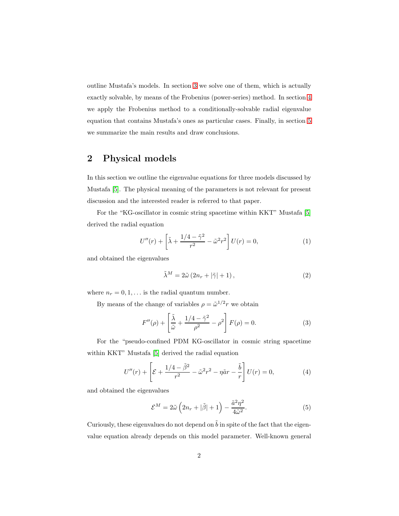outline Mustafa's models. In section [3](#page-3-0) we solve one of them, which is actually exactly solvable, by means of the Frobenius (power-series) method. In section [4](#page-4-0) we apply the Frobenius method to a conditionally-solvable radial eigenvalue equation that contains Mustafa's ones as particular cases. Finally, in section [5](#page-6-1) we summarize the main results and draw conclusions.

# <span id="page-1-0"></span>2 Physical models

In this section we outline the eigenvalue equations for three models discussed by Mustafa [\[5\]](#page-7-2). The physical meaning of the parameters is not relevant for present discussion and the interested reader is referred to that paper.

For the "KG-oscillator in cosmic string spacetime within KKT" Mustafa [\[5\]](#page-7-2) derived the radial equation

$$
U''(r) + \left[\tilde{\lambda} + \frac{1/4 - \tilde{\gamma}^2}{r^2} - \tilde{\omega}^2 r^2\right]U(r) = 0,
$$
\n(1)

and obtained the eigenvalues

<span id="page-1-2"></span>
$$
\tilde{\lambda}^M = 2\tilde{\omega} \left( 2n_r + |\tilde{\gamma}| + 1 \right),\tag{2}
$$

where  $n_r = 0, 1, \ldots$  is the radial quantum number.

By means of the change of variables  $\rho = \tilde{\omega}^{1/2} r$  we obtain

$$
F''(\rho) + \left[\frac{\tilde{\lambda}}{\tilde{\omega}} + \frac{1/4 - \tilde{\gamma}^2}{\rho^2} - \rho^2\right] F(\rho) = 0.
$$
 (3)

For the "pseudo-confined PDM KG-oscillator in cosmic string spacetime within KKT" Mustafa [\[5\]](#page-7-2) derived the radial equation

<span id="page-1-3"></span>
$$
U''(r) + \left[\mathcal{E} + \frac{1/4 - \tilde{\beta}^2}{r^2} - \tilde{\omega}^2 r^2 - \eta \tilde{a}r - \frac{\tilde{b}}{r}\right]U(r) = 0,
$$
 (4)

and obtained the eigenvalues

<span id="page-1-1"></span>
$$
\mathcal{E}^{M} = 2\tilde{\omega}\left(2n_{r} + |\tilde{\beta}| + 1\right) - \frac{\tilde{a}^{2}\eta^{2}}{4\tilde{\omega}^{2}}.
$$
\n(5)

Curiously, these eigenvalues do not depend on  $\tilde{b}$  in spite of the fact that the eigenvalue equation already depends on this model parameter. Well-known general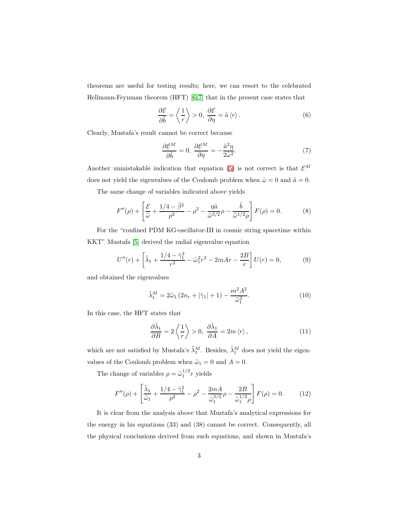theorems are useful for testing results; here, we can resort to the celebrated Hellmann-Feynman theorem (HFT) [\[6,](#page-7-3) [7\]](#page-7-4) that in the present case states that

$$
\frac{\partial \mathcal{E}}{\partial \tilde{b}} = \left\langle \frac{1}{r} \right\rangle > 0, \ \frac{\partial \mathcal{E}}{\partial \eta} = \tilde{a} \left\langle r \right\rangle. \tag{6}
$$

Clearly, Mustafa's result cannot be correct because

$$
\frac{\partial \mathcal{E}^M}{\partial \tilde{b}} = 0, \ \frac{\partial \mathcal{E}^M}{\partial \eta} = -\frac{\tilde{a}^2 \eta}{2\tilde{\omega}^2}.
$$
 (7)

Another unmistakable indication that equation [\(5\)](#page-1-1) is not correct is that  $\mathcal{E}^M$ does not yield the eigenvalues of the Coulomb problem when  $\tilde{\omega} = 0$  and  $\tilde{a} = 0$ .

The same change of variables indicated above yields

$$
F''(\rho) + \left[\frac{\mathcal{E}}{\tilde{\omega}} + \frac{1/4 - \tilde{\beta}^2}{\rho^2} - \rho^2 - \frac{\eta \tilde{a}}{\tilde{\omega}^{3/2}}\rho - \frac{\tilde{b}}{\tilde{\omega}^{1/2}\rho}\right] F(\rho) = 0.
$$
 (8)

For the "confined PDM KG-oscillator-III in cosmic string spacetime within KKT" Mustafa [\[5\]](#page-7-2) derived the radial eigenvalue equation

<span id="page-2-1"></span>
$$
U''(r) + \left[\tilde{\lambda}_1 + \frac{1/4 - \tilde{\gamma}_1^2}{r^2} - \tilde{\omega}_1^2 r^2 - 2mAr - \frac{2B}{r}\right]U(r) = 0,\tag{9}
$$

and obtained the eigenvalues

<span id="page-2-0"></span>
$$
\tilde{\lambda}_1^M = 2\tilde{\omega}_1 (2n_r + |\tilde{\gamma}_1| + 1) - \frac{m^2 A^2}{\tilde{\omega}_1^2}.
$$
\n(10)

In this case, the HFT states that

$$
\frac{\partial \tilde{\lambda}_1}{\partial B} = 2 \left\langle \frac{1}{r} \right\rangle > 0, \ \frac{\partial \tilde{\lambda}_1}{\partial A} = 2m \left\langle r \right\rangle, \tag{11}
$$

which are not satisfied by Mustafa's  $\tilde{\lambda}_1^M$ . Besides,  $\tilde{\lambda}_1^M$  does not yield the eigenvalues of the Coulomb problem when  $\tilde{\omega}_1 = 0$  and  $A = 0$ .

The change of variables  $\rho = \tilde{\omega}_1^{1/2} r$  yields

$$
F''(\rho) + \left[\frac{\tilde{\lambda}_1}{\tilde{\omega}_1} + \frac{1/4 - \tilde{\gamma}_1^2}{\rho^2} - \rho^2 - \frac{2mA}{\tilde{\omega}_1^{3/2}}\rho - \frac{2B}{\tilde{\omega}_1^{1/2}\rho}\right] F(\rho) = 0.
$$
 (12)

It is clear from the analysis above that Mustafa's analytical expressions for the energy in his equations (33) and (38) cannot be correct. Consequently, all the physical conclusions derived from such equations, and shown in Mustafa's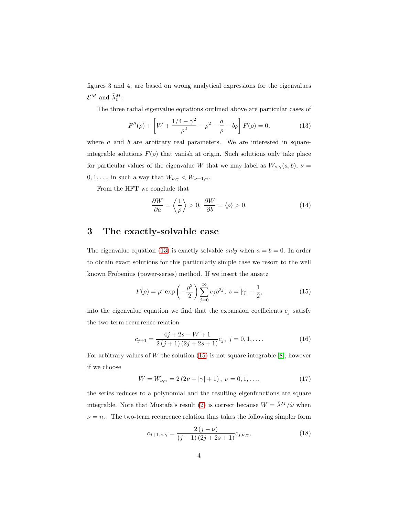figures 3 and 4, are based on wrong analytical expressions for the eigenvalues  $\mathcal{E}^M$  and  $\tilde{\lambda}_1^M$ .

The three radial eigenvalue equations outlined above are particular cases of

<span id="page-3-1"></span>
$$
F''(\rho) + \left[W + \frac{1/4 - \gamma^2}{\rho^2} - \rho^2 - \frac{a}{\rho} - b\rho\right] F(\rho) = 0, \tag{13}
$$

where  $a$  and  $b$  are arbitrary real parameters. We are interested in squareintegrable solutions  $F(\rho)$  that vanish at origin. Such solutions only take place for particular values of the eigenvalue W that we may label as  $W_{\nu,\gamma}(a, b)$ ,  $\nu =$  $0, 1, \ldots$ , in such a way that  $W_{\nu, \gamma} < W_{\nu+1, \gamma}$ .

From the HFT we conclude that

<span id="page-3-3"></span>
$$
\frac{\partial W}{\partial a} = \left\langle \frac{1}{\rho} \right\rangle > 0, \ \frac{\partial W}{\partial b} = \langle \rho \rangle > 0. \tag{14}
$$

#### <span id="page-3-0"></span>3 The exactly-solvable case

The eigenvalue equation [\(13\)](#page-3-1) is exactly solvable *only* when  $a = b = 0$ . In order to obtain exact solutions for this particularly simple case we resort to the well known Frobenius (power-series) method. If we insert the ansatz

<span id="page-3-2"></span>
$$
F(\rho) = \rho^s \exp\left(-\frac{\rho^2}{2}\right) \sum_{j=0}^{\infty} c_j \rho^{2j}, \ s = |\gamma| + \frac{1}{2}, \tag{15}
$$

into the eigenvalue equation we find that the expansion coefficients  $c_j$  satisfy the two-term recurrence relation

$$
c_{j+1} = \frac{4j + 2s - W + 1}{2(j+1)(2j+2s+1)} c_j, \ j = 0, 1, \dots
$$
 (16)

For arbitrary values of W the solution  $(15)$  is not square integrable [\[8\]](#page-7-5); however if we choose

$$
W = W_{\nu,\gamma} = 2(2\nu + |\gamma| + 1), \ \nu = 0, 1, \dots,
$$
 (17)

the series reduces to a polynomial and the resulting eigenfunctions are square integrable. Note that Mustafa's result [\(2\)](#page-1-2) is correct because  $W = \tilde{\lambda}^M/\tilde{\omega}$  when  $\nu = n_r$ . The two-term recurrence relation thus takes the following simpler form

$$
c_{j+1,\nu,\gamma} = \frac{2(j-\nu)}{(j+1)(2j+2s+1)} c_{j,\nu,\gamma},
$$
\n(18)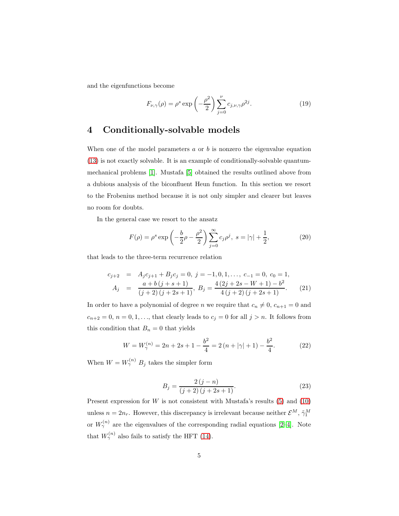and the eigenfunctions become

$$
F_{\nu,\gamma}(\rho) = \rho^s \exp\left(-\frac{\rho^2}{2}\right) \sum_{j=0}^{\nu} c_{j,\nu,\gamma} \rho^{2j}.
$$
 (19)

# <span id="page-4-0"></span>4 Conditionally-solvable models

When one of the model parameters  $a$  or  $b$  is nonzero the eigenvalue equation [\(13\)](#page-3-1) is not exactly solvable. It is an example of conditionally-solvable quantummechanical problems [\[1\]](#page-6-0). Mustafa [\[5\]](#page-7-2) obtained the results outlined above from a dubious analysis of the biconfluent Heun function. In this section we resort to the Frobenius method because it is not only simpler and clearer but leaves no room for doubts.

In the general case we resort to the ansatz

$$
F(\rho) = \rho^s \exp\left(-\frac{b}{2}\rho - \frac{\rho^2}{2}\right) \sum_{j=0}^{\infty} c_j \rho^j, \ s = |\gamma| + \frac{1}{2}, \tag{20}
$$

that leads to the three-term recurrence relation

$$
c_{j+2} = A_j c_{j+1} + B_j c_j = 0, \ j = -1, 0, 1, \dots, c_{-1} = 0, \ c_0 = 1,
$$
  

$$
A_j = \frac{a + b (j + s + 1)}{(j + 2) (j + 2s + 1)}, \ B_j = \frac{4 (2j + 2s - W + 1) - b^2}{4 (j + 2) (j + 2s + 1)}.
$$
 (21)

In order to have a polynomial of degree n we require that  $c_n \neq 0$ ,  $c_{n+1} = 0$  and  $c_{n+2} = 0$ ,  $n = 0, 1, \ldots$ , that clearly leads to  $c_j = 0$  for all  $j > n$ . It follows from this condition that  $B_n = 0$  that yields

$$
W = W_{\gamma}^{(n)} = 2n + 2s + 1 - \frac{b^2}{4} = 2\left(n + |\gamma| + 1\right) - \frac{b^2}{4}.
$$
 (22)

When  $W = W_{\gamma}^{(n)} B_j$  takes the simpler form

$$
B_{j} = \frac{2(j-n)}{(j+2)(j+2s+1)}.
$$
\n(23)

Present expression for  $W$  is not consistent with Mustafa's results [\(5\)](#page-1-1) and [\(10\)](#page-2-0) unless  $n = 2n_r$ . However, this discrepancy is irrelevant because neither  $\mathcal{E}^M$ ,  $\tilde{\gamma}_1^M$ or  $W_{\gamma}^{(n)}$  are the eigenvalues of the corresponding radial equations [\[2](#page-7-0)-4]. Note that  $W_{\gamma}^{(n)}$  also fails to satisfy the HFT [\(14\)](#page-3-3).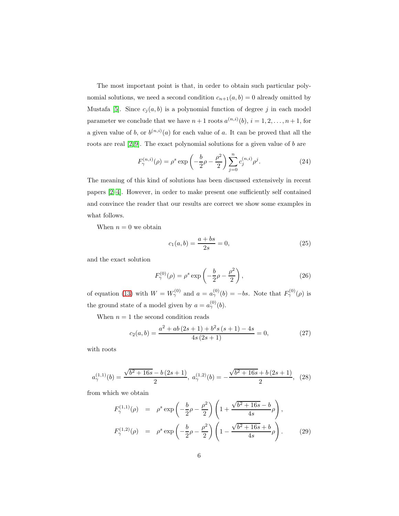The most important point is that, in order to obtain such particular polynomial solutions, we need a second condition  $c_{n+1}(a, b) = 0$  already omitted by Mustafa [\[5\]](#page-7-2). Since  $c_j(a, b)$  is a polynomial function of degree j in each model parameter we conclude that we have  $n+1$  roots  $a^{(n,i)}(b)$ ,  $i=1,2,\ldots,n+1$ , for a given value of b, or  $b^{(n,i)}(a)$  for each value of a. It can be proved that all the roots are real  $[2, 9]$  $[2, 9]$ . The exact polynomial solutions for a given value of b are

<span id="page-5-2"></span>
$$
F_{\gamma}^{(n,i)}(\rho) = \rho^s \exp\left(-\frac{b}{2}\rho - \frac{\rho^2}{2}\right) \sum_{j=0}^n c_j^{(n,i)} \rho^j.
$$
 (24)

The meaning of this kind of solutions has been discussed extensively in recent papers [\[2–](#page-7-0)[4\]](#page-7-1). However, in order to make present one sufficiently self contained and convince the reader that our results are correct we show some examples in what follows.

When  $n = 0$  we obtain

$$
c_1(a,b) = \frac{a+bs}{2s} = 0,
$$
\n(25)

and the exact solution

<span id="page-5-0"></span>
$$
F_{\gamma}^{(0)}(\rho) = \rho^s \exp\left(-\frac{b}{2}\rho - \frac{\rho^2}{2}\right),\tag{26}
$$

of equation [\(13\)](#page-3-1) with  $W = W_{\gamma}^{(0)}$  and  $a = a_{\gamma}^{(0)}(b) = -bs$ . Note that  $F_{\gamma}^{(0)}(\rho)$  is the ground state of a model given by  $a = a_{\gamma}^{(0)}(b)$ .

When  $n = 1$  the second condition reads

$$
c_2(a,b) = \frac{a^2 + ab(2s+1) + b^2s(s+1) - 4s}{4s(2s+1)} = 0,
$$
\n(27)

with roots

$$
a_{\gamma}^{(1,1)}(b) = \frac{\sqrt{b^2 + 16s} - b(2s + 1)}{2}, \ a_{\gamma}^{(1,2)}(b) = -\frac{\sqrt{b^2 + 16s} + b(2s + 1)}{2}, \tag{28}
$$

from which we obtain

<span id="page-5-1"></span>
$$
F_{\gamma}^{(1,1)}(\rho) = \rho^s \exp\left(-\frac{b}{2}\rho - \frac{\rho^2}{2}\right) \left(1 + \frac{\sqrt{b^2 + 16s} - b}{4s}\rho\right),
$$
  

$$
F_{\gamma}^{(1,2)}(\rho) = \rho^s \exp\left(-\frac{b}{2}\rho - \frac{\rho^2}{2}\right) \left(1 - \frac{\sqrt{b^2 + 16s} + b}{4s}\rho\right).
$$
 (29)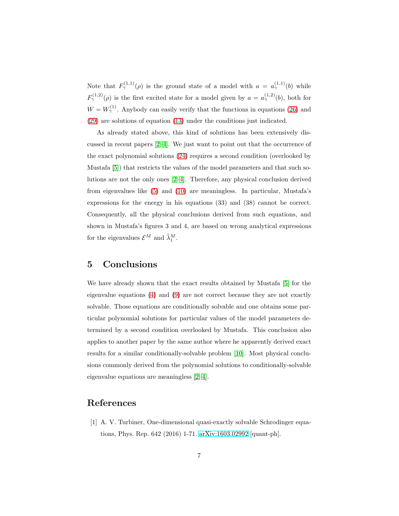Note that  $F^{(1,1)}_{\gamma}(\rho)$  is the ground state of a model with  $a = a_{\gamma}^{(1,1)}(b)$  while  $F^{(1,2)}_{\gamma}(\rho)$  is the first excited state for a model given by  $a = a^{(1,2)}_{\gamma}(b)$ , both for  $W = W_{\gamma}^{(1)}$ . Anybody can easily verify that the functions in equations [\(26\)](#page-5-0) and [\(29\)](#page-5-1) are solutions of equation [\(13\)](#page-3-1) under the conditions just indicated.

As already stated above, this kind of solutions has been extensively discussed in recent papers [\[2](#page-7-0)[–4\]](#page-7-1). We just want to point out that the occurrence of the exact polynomial solutions [\(24\)](#page-5-2) requires a second condition (overlooked by Mustafa [\[5\]](#page-7-2)) that restricts the values of the model parameters and that such solutions are not the only ones [\[2](#page-7-0)[–4\]](#page-7-1). Therefore, any physical conclusion derived from eigenvalues like [\(5\)](#page-1-1) and [\(10\)](#page-2-0) are meaningless. In particular, Mustafa's expressions for the energy in his equations (33) and (38) cannot be correct. Consequently, all the physical conclusions derived from such equations, and shown in Mustafa's figures 3 and 4, are based on wrong analytical expressions for the eigenvalues  $\mathcal{E}^M$  and  $\tilde{\lambda}_1^M$ .

#### <span id="page-6-1"></span>5 Conclusions

We have already shown that the exact results obtained by Mustafa [\[5\]](#page-7-2) for the eigenvalue equations [\(4\)](#page-1-3) and [\(9\)](#page-2-1) are not correct because they are not exactly solvable. Those equations are conditionally solvable and one obtains some particular polynomial solutions for particular values of the model parameters determined by a second condition overlooked by Mustafa. This conclusion also applies to another paper by the same author where he apparently derived exact results for a similar conditionally-solvable problem [\[10\]](#page-7-7). Most physical conclusions commonly derived from the polynomial solutions to conditionally-solvable eigenvalue equations are meaningless [\[2](#page-7-0)[–4\]](#page-7-1).

### <span id="page-6-0"></span>References

[1] A. V. Turbiner, One-dimensional quasi-exactly solvable Schrodinger equations, Phys. Rep. 642 (2016) 1-71. [arXiv:1603.02992](http://arxiv.org/abs/1603.02992) [quant-ph].